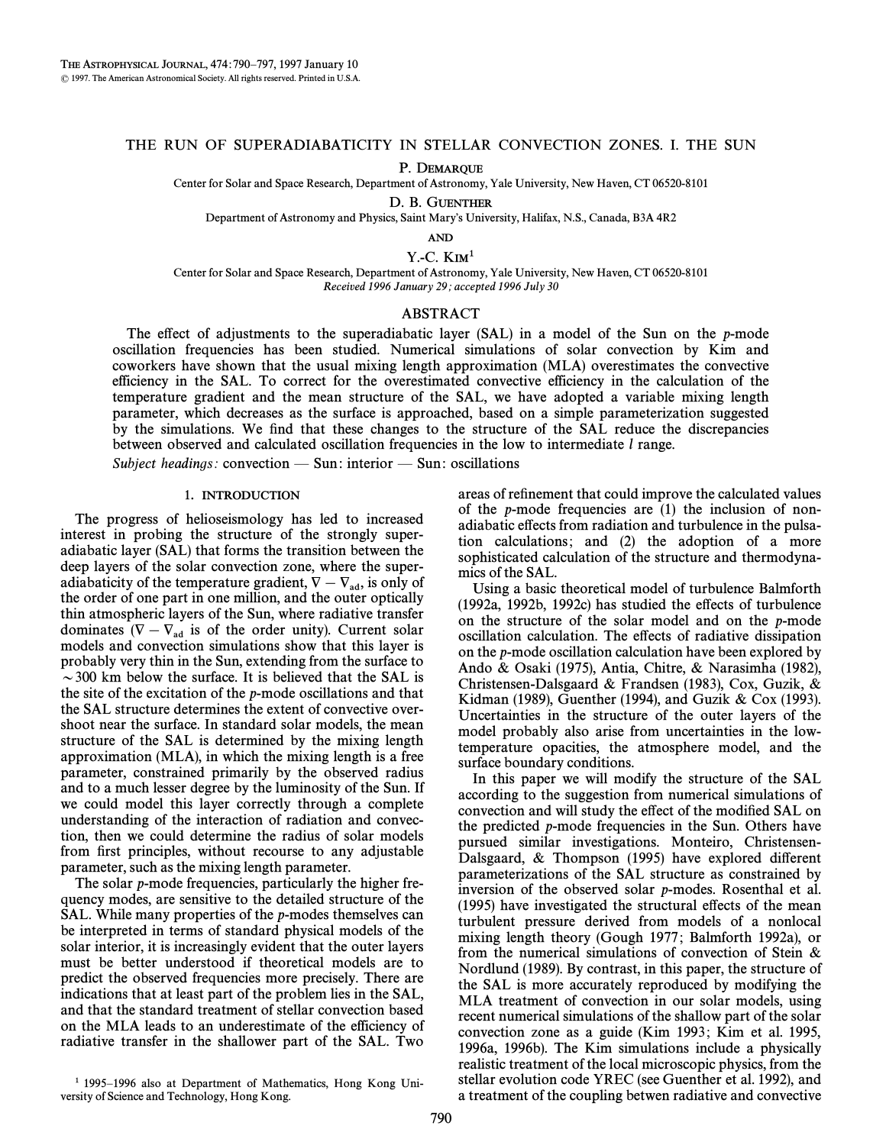## THE RUN OF SUPERADIABATICITY IN STELLAR CONVECTION ZONES. I. THE SUN

P. DEMARQUE

Center for Solar and Space Research, Department of Astronomy, Yale University, New Haven, CT 06520-8101

D. B. GUENTHER

Department of Astronomy and Physics, Saint Mary's University, Halifax, N.S., Canada, B3A 4R2

AND

 $Y.-C.$  KIM<sup>1</sup>

Center for Solar and Space Research, Department of Astronomy, Yale University, New Haven, CT 06520-8101 Received 1996 January 29; accepted 1996 July 30

# ABSTRACT

The effect of adjustments to the superadiabatic layer (SAL) in a model of the Sun on the  $p$ -mode oscillation frequencies has been studied. Numerical simulations of solar convection by Kim and coworkers have shown that the usual mixing length approximation (MLA) overestimates the convective efficiency in the SAL. To correct for the overestimated convective efficiency in the calculation of the temperature gradient and the mean structure of the SAL, we have adopted a variable mixing length parameter, which decreases as the surface is approached, based on a simple parameterization suggested by the simulations. We find that these changes to the structure of the SAL reduce the discrepancies between observed and calculated oscillation frequencies in the low to intermediate l range.

Subject headings: convection  $-\text{Sun}$ : interior  $-\text{Sun}$ : oscillations

## 1. INTRODUCTION

The progress of helioseismology has led to increased interest in probing the structure of the strongly superadiabatic layer (SAL) that forms the transition between the deep layers of the solar convection zone, where the superadiabaticity of the temperature gradient,  $\nabla - \nabla_{ad}$ , is only of the order of one part in one million, and the outer optically thin atmospheric layers of the Sun, where radiative transfer dominates  $(\nabla - \nabla_{ad}$  is of the order unity). Current solar models and convection simulations show that this layer is probably very thin in the Sun, extending from the surface to  $\sim$  300 km below the surface. It is believed that the SAL is the site of the excitation of the p-mode oscillations and that the SAL structure determines the extent of convective overshoot near the surface. In standard solar models, the mean structure of the SAL is determined by the mixing length approximation (MLA), in which the mixing length is a free parameter, constrained primarily by the observed radius and to a much lesser degree by the luminosity of the Sun. If we could model this layer correctly through a complete understanding of the interaction of radiation and convection, then we could determine the radius of solar models from first principles, without recourse to any adjustable parameter, such as the mixing length parameter.

The solar p-mode frequencies, particularly the higher frequency modes, are sensitive to the detailed structure of the SAL. While many properties of the p-modes themselves can be interpreted in terms of standard physical models of the solar interior, it is increasingly evident that the outer layers must be better understood if theoretical models are to predict the observed frequencies more precisely. There are indications that at least part of the problem lies in the SAL, and that the standard treatment of stellar convection based on the MLA leads to an underestimate of the efficiency of radiative transfer in the shallower part of the SAL. Two

 $1$  1995–1996 also at Department of Mathematics, Hong Kong University of Science and Technology, Hong Kong.

areas of refinement that could improve the calculated values of the  $p$ -mode frequencies are  $(1)$  the inclusion of nonadiabatic effects from radiation and turbulence in the pulsation calculations; and (2) the adoption of a more sophisticated calculation of the structure and thermodynamics of the SAL.

Using a basic theoretical model of turbulence Balmforth (1992a, 1992b, 1992c) has studied the e†ects of turbulence on the structure of the solar model and on the p-mode oscillation calculation. The e†ects of radiative dissipation on the p-mode oscillation calculation have been explored by Ando & Osaki (1975), Antia, Chitre, & Narasimha (1982), Christensen-Dalsgaard & Frandsen (1983), Cox, Guzik, & Kidman (1989), Guenther (1994), and Guzik & Cox (1993). Uncertainties in the structure of the outer layers of the model probably also arise from uncertainties in the lowtemperature opacities, the atmosphere model, and the surface boundary conditions.

In this paper we will modify the structure of the SAL according to the suggestion from numerical simulations of convection and will study the effect of the modified SAL on the predicted p-mode frequencies in the Sun. Others have pursued similar investigations. Monteiro, Christensen-Dalsgaard,  $&$  Thompson (1995) have explored different parameterizations of the SAL structure as constrained by inversion of the observed solar  $p$ -modes. Rosenthal et al. (1995) have investigated the structural effects of the mean turbulent pressure derived from models of a nonlocal mixing length theory (Gough 1977; Balmforth 1992a), or from the numerical simulations of convection of Stein  $\&$ Nordlund (1989). By contrast, in this paper, the structure of the SAL is more accurately reproduced by modifying the MLA treatment of convection in our solar models, using recent numerical simulations of the shallow part of the solar convection zone as a guide (Kim 1993; Kim et al. 1995, 1996a, 1996b). The Kim simulations include a physically realistic treatment of the local microscopic physics, from the stellar evolution code YREC (see Guenther et al. 1992), and a treatment of the coupling betwen radiative and convective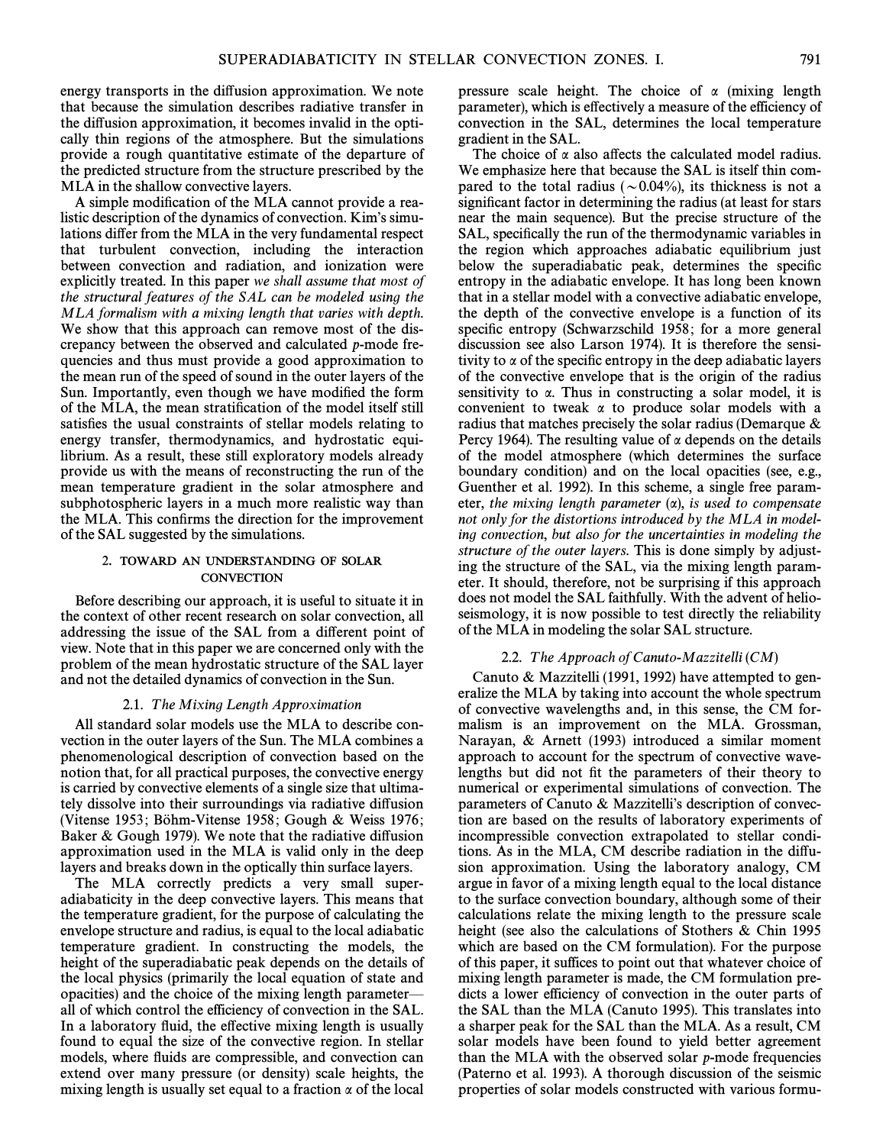energy transports in the diffusion approximation. We note that because the simulation describes radiative transfer in the di†usion approximation, it becomes invalid in the optically thin regions of the atmosphere. But the simulations provide a rough quantitative estimate of the departure of the predicted structure from the structure prescribed by the MLA in the shallow convective layers.

A simple modification of the MLA cannot provide a realistic description of the dynamics of convection. Kim's simulations differ from the MLA in the very fundamental respect that turbulent convection, including the interaction between convection and radiation, and ionization were explicitly treated. In this paper we shall assume that most of the structural features of the SAL can be modeled using the MLA formalism with a mixing length that varies with depth. We show that this approach can remove most of the discrepancy between the observed and calculated p-mode frequencies and thus must provide a good approximation to the mean run of the speed of sound in the outer layers of the Sun. Importantly, even though we have modified the form of the MLA, the mean stratification of the model itself still satisfies the usual constraints of stellar models relating to energy transfer, thermodynamics, and hydrostatic equilibrium. As a result, these still exploratory models already provide us with the means of reconstructing the run of the mean temperature gradient in the solar atmosphere and subphotospheric layers in a much more realistic way than the MLA. This confirms the direction for the improvement of the SAL suggested by the simulations.

# 2. TOWARD AN UNDERSTANDING OF SOLAR **CONVECTION**

Before describing our approach, it is useful to situate it in the context of other recent research on solar convection, all addressing the issue of the SAL from a different point of view. Note that in this paper we are concerned only with the problem of the mean hydrostatic structure of the SAL layer and not the detailed dynamics of convection in the Sun.

### 2.1. The Mixing Length Approximation

All standard solar models use the MLA to describe convection in the outer layers of the Sun. The MLA combines a phenomenological description of convection based on the notion that, for all practical purposes, the convective energy is carried by convective elements of a single size that ultimately dissolve into their surroundings via radiative di†usion (Vitense 1953; Böhm-Vitense 1958; Gough  $\&$  Weiss 1976; Baker  $& Gough$  1979). We note that the radiative diffusion approximation used in the MLA is valid only in the deep layers and breaks down in the optically thin surface layers.

The MLA correctly predicts a very small superadiabaticity in the deep convective layers. This means that the temperature gradient, for the purpose of calculating the envelope structure and radius, is equal to the local adiabatic temperature gradient. In constructing the models, the height of the superadiabatic peak depends on the details of the local physics (primarily the local equation of state and opacities) and the choice of the mixing length parameter all of which control the efficiency of convection in the SAL. In a laboratory fluid, the effective mixing length is usually found to equal the size of the convective region. In stellar models, where fluids are compressible, and convection can extend over many pressure (or density) scale heights, the mixing length is usually set equal to a fraction  $\alpha$  of the local

pressure scale height. The choice of  $\alpha$  (mixing length parameter), which is e†ectively a measure of the efficiency of convection in the SAL, determines the local temperature gradient in the SAL.

The choice of  $\alpha$  also affects the calculated model radius. We emphasize here that because the SAL is itself thin compared to the total radius ( $\sim 0.04\%$ ), its thickness is not a significant factor in determining the radius (at least for stars near the main sequence). But the precise structure of the SAL, specifically the run of the thermodynamic variables in the region which approaches adiabatic equilibrium just below the superadiabatic peak, determines the specific entropy in the adiabatic envelope. It has long been known that in a stellar model with a convective adiabatic envelope, the depth of the convective envelope is a function of its specific entropy (Schwarzschild 1958; for a more general discussion see also Larson 1974). It is therefore the sensitivity to  $\alpha$  of the specific entropy in the deep adiabatic layers of the convective envelope that is the origin of the radius sensitivity to  $\alpha$ . Thus in constructing a solar model, it is convenient to tweak  $\alpha$  to produce solar models with a radius that matches precisely the solar radius (Demarque  $\&$ Percy 1964). The resulting value of  $\alpha$  depends on the details of the model atmosphere (which determines the surface boundary condition) and on the local opacities (see, e.g., Guenther et al. 1992). In this scheme, a single free parameter, the mixing length parameter  $(\alpha)$ , is used to compensate not only for the distortions introduced by the MLA in modeling convection, but also for the uncertainties in modeling the structure of the outer layers. This is done simply by adjusting the structure of the SAL, via the mixing length parameter. It should, therefore, not be surprising if this approach does not model the SAL faithfully. With the advent of helioseismology, it is now possible to test directly the reliability of the MLA in modeling the solar SAL structure.

## 2.2. The Approach of Canuto-Mazzitelli  $(CM)$

Canuto & Mazzitelli (1991, 1992) have attempted to generalize the MLA by taking into account the whole spectrum of convective wavelengths and, in this sense, the CM formalism is an improvement on the MLA. Grossman, Narayan, & Arnett (1993) introduced a similar moment approach to account for the spectrum of convective wavelengths but did not fit the parameters of their theory to numerical or experimental simulations of convection. The parameters of Canuto  $&$  Mazzitelli's description of convection are based on the results of laboratory experiments of incompressible convection extrapolated to stellar conditions. As in the MLA, CM describe radiation in the diffusion approximation. Using the laboratory analogy, CM argue in favor of a mixing length equal to the local distance to the surface convection boundary, although some of their calculations relate the mixing length to the pressure scale height (see also the calculations of Stothers  $\&$  Chin 1995 which are based on the CM formulation). For the purpose of this paper, it suffices to point out that whatever choice of mixing length parameter is made, the CM formulation predicts a lower efficiency of convection in the outer parts of the SAL than the MLA (Canuto 1995). This translates into a sharper peak for the SAL than the MLA. As a result, CM solar models have been found to yield better agreement than the MLA with the observed solar p-mode frequencies (Paterno et al. 1993). A thorough discussion of the seismic properties of solar models constructed with various formu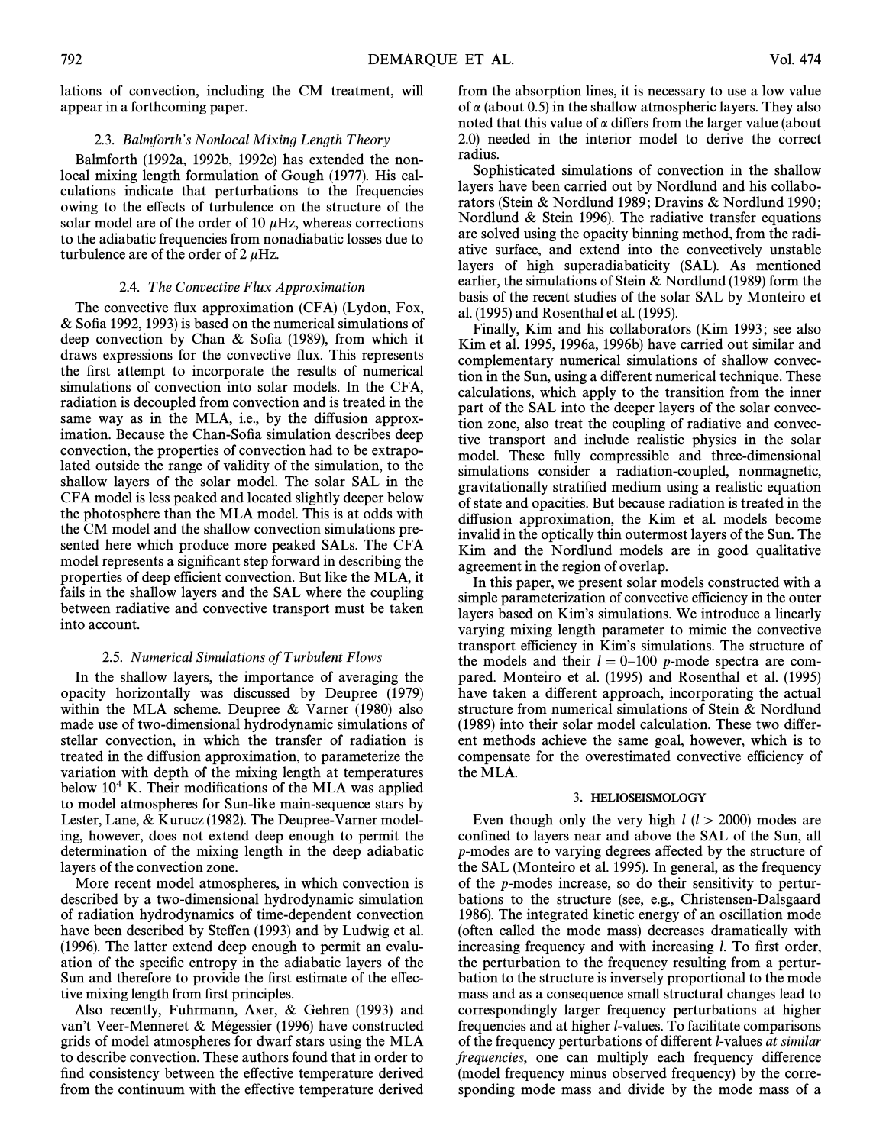lations of convection, including the CM treatment, will appear in a forthcoming paper.

# 2.3. Balmforth's Nonlocal Mixing Length Theory

Balmforth (1992a, 1992b, 1992c) has extended the nonlocal mixing length formulation of Gough (1977). His calculations indicate that perturbations to the frequencies owing to the effects of turbulence on the structure of the solar model are of the order of 10  $\mu$ Hz, whereas corrections to the adiabatic frequencies from nonadiabatic losses due to turbulence are of the order of 2  $\mu$ Hz.

# 2.4. The Convective Flux Approximation

The convective flux approximation (CFA) (Lydon, Fox,  $&$  Sofia 1992, 1993) is based on the numerical simulations of deep convection by Chan & Sofia (1989), from which it draws expressions for the convective Ñux. This represents the first attempt to incorporate the results of numerical simulations of convection into solar models. In the CFA, radiation is decoupled from convection and is treated in the same way as in the MLA, i.e., by the diffusion approximation. Because the Chan-Sofia simulation describes deep convection, the properties of convection had to be extrapolated outside the range of validity of the simulation, to the shallow layers of the solar model. The solar SAL in the CFA model is less peaked and located slightly deeper below the photosphere than the MLA model. This is at odds with the CM model and the shallow convection simulations presented here which produce more peaked SALs. The CFA model represents a significant step forward in describing the properties of deep efficient convection. But like the MLA, it fails in the shallow layers and the SAL where the coupling between radiative and convective transport must be taken into account.

# 2.5. Numerical Simulations of Turbulent Flows

In the shallow layers, the importance of averaging the opacity horizontally was discussed by Deupree (1979) within the MLA scheme. Deupree  $&$  Varner (1980) also made use of two-dimensional hydrodynamic simulations of stellar convection, in which the transfer of radiation is treated in the di†usion approximation, to parameterize the variation with depth of the mixing length at temperatures below  $10^4$  K. Their modifications of the MLA was applied to model atmospheres for Sun-like main-sequence stars by Lester, Lane,  $& Kurucz (1982)$ . The Deupree-Varner modeling, however, does not extend deep enough to permit the determination of the mixing length in the deep adiabatic layers of the convection zone.

More recent model atmospheres, in which convection is described by a two-dimensional hydrodynamic simulation of radiation hydrodynamics of time-dependent convection have been described by Steffen (1993) and by Ludwig et al. (1996). The latter extend deep enough to permit an evaluation of the specific entropy in the adiabatic layers of the Sun and therefore to provide the first estimate of the effective mixing length from first principles.

Also recently, Fuhrmann, Axer,  $\&$  Gehren (1993) and van't Veer-Menneret & Mégessier (1996) have constructed grids of model atmospheres for dwarf stars using the MLA to describe convection. These authors found that in order to find consistency between the effective temperature derived from the continuum with the effective temperature derived from the absorption lines, it is necessary to use a low value of  $\alpha$  (about 0.5) in the shallow atmospheric layers. They also noted that this value of  $\alpha$  differs from the larger value (about 2.0) needed in the interior model to derive the correct radius.

Sophisticated simulations of convection in the shallow layers have been carried out by Nordlund and his collaborators (Stein & Nordlund 1989; Dravins & Nordlund 1990; Nordlund  $&$  Stein 1996). The radiative transfer equations are solved using the opacity binning method, from the radiative surface, and extend into the convectively unstable layers of high superadiabaticity (SAL). As mentioned earlier, the simulations of Stein  $\&$  Nordlund (1989) form the basis of the recent studies of the solar SAL by Monteiro et al. (1995) and Rosenthal et al. (1995).

Finally, Kim and his collaborators (Kim 1993; see also Kim et al. 1995, 1996a, 1996b) have carried out similar and complementary numerical simulations of shallow convection in the Sun, using a different numerical technique. These calculations, which apply to the transition from the inner part of the SAL into the deeper layers of the solar convection zone, also treat the coupling of radiative and convective transport and include realistic physics in the solar model. These fully compressible and three-dimensional simulations consider a radiation-coupled, nonmagnetic, gravitationally stratified medium using a realistic equation of state and opacities. But because radiation is treated in the diffusion approximation, the Kim et al. models become invalid in the optically thin outermost layers of the Sun. The Kim and the Nordlund models are in good qualitative agreement in the region of overlap.

In this paper, we present solar models constructed with a simple parameterization of convective efficiency in the outer layers based on Kim's simulations. We introduce a linearly varying mixing length parameter to mimic the convective transport efficiency in Kim's simulations. The structure of the models and their  $l = 0-100$  p-mode spectra are compared. Monteiro et al. (1995) and Rosenthal et al. (1995) have taken a different approach, incorporating the actual structure from numerical simulations of Stein  $\&$  Nordlund (1989) into their solar model calculation. These two di†erent methods achieve the same goal, however, which is to compensate for the overestimated convective efficiency of the MLA.

## 3. HELIOSEISMOLOGY

Even though only the very high  $l (l > 2000)$  modes are confined to layers near and above the SAL of the Sun, all p-modes are to varying degrees a†ected by the structure of the SAL (Monteiro et al. 1995). In general, as the frequency of the p-modes increase, so do their sensitivity to perturbations to the structure (see, e.g., Christensen-Dalsgaard 1986). The integrated kinetic energy of an oscillation mode (often called the mode mass) decreases dramatically with increasing frequency and with increasing  $l$ . To first order, the perturbation to the frequency resulting from a perturbation to the structure is inversely proportional to the mode mass and as a consequence small structural changes lead to correspondingly larger frequency perturbations at higher frequencies and at higher l-values. To facilitate comparisons of the frequency perturbations of different *l*-values at similar frequencies, one can multiply each frequency difference (model frequency minus observed frequency) by the corresponding mode mass and divide by the mode mass of a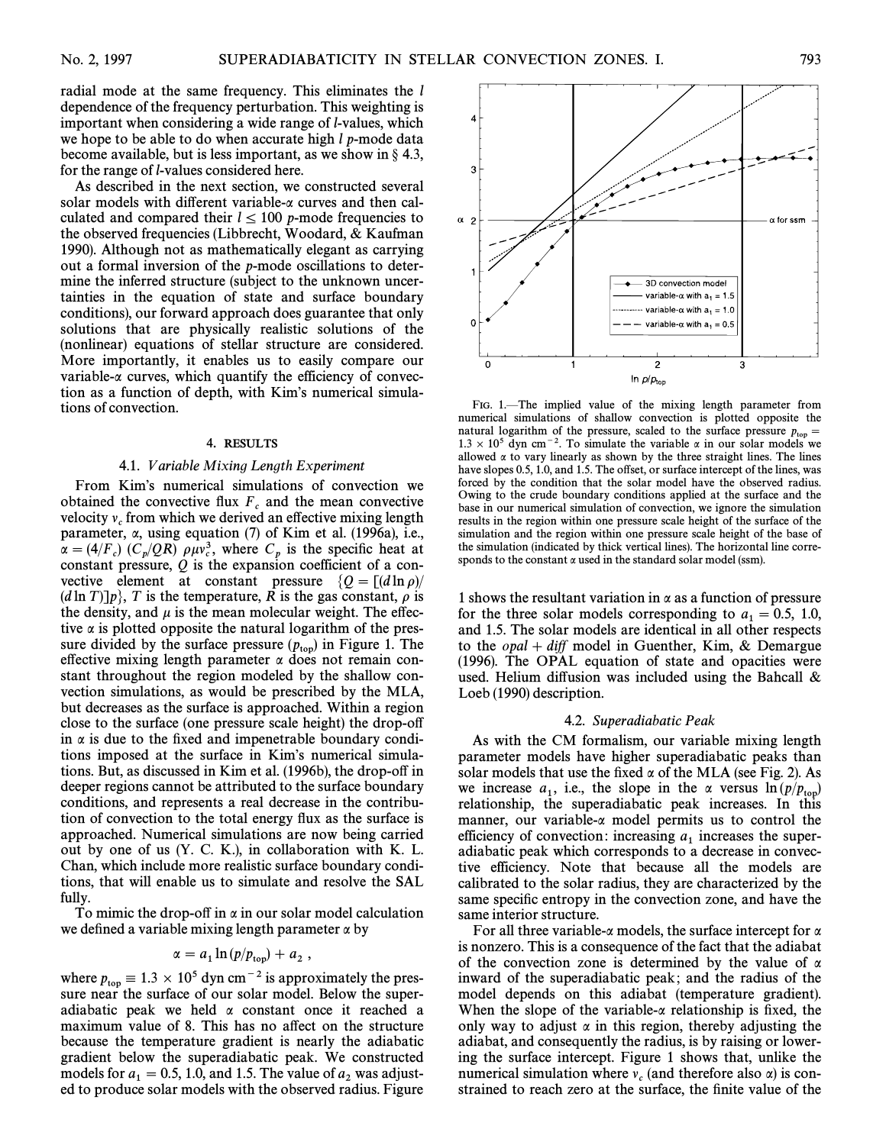3

 $\alpha$  2

 $\Omega$ 

radial mode at the same frequency. This eliminates the *l* dependence of the frequency perturbation. This weighting is important when considering a wide range of l-values, which we hope to be able to do when accurate high  $l$  p-mode data become available, but is less important, as we show in  $\S$  4.3, for the range of l-values considered here.

As described in the next section, we constructed several solar models with different variable- $\alpha$  curves and then calculated and compared their  $l \le 100$  p-mode frequencies to the observed frequencies (Libbrecht, Woodard, & Kaufman 1990). Although not as mathematically elegant as carrying out a formal inversion of the p-mode oscillations to determine the inferred structure (subject to the unknown uncertainties in the equation of state and surface boundary conditions), our forward approach does guarantee that only solutions that are physically realistic solutions of the (nonlinear) equations of stellar structure are considered. More importantly, it enables us to easily compare our variable- $\alpha$  curves, which quantify the efficiency of convection as a function of depth, with Kim's numerical simulations of convection.

# 4. RESULTS

#### 4.1. Variable Mixing Length Experiment

From Kim's numerical simulations of convection we obtained the convective flux  $F_c$  and the mean convective velocity  $v_c$  from which we derived an effective mixing length parameter,  $\alpha$ , using equation (7) of Kim et al. (1996a), i.e.,  $\alpha = (4/F_c)$   $(C_p/QR)$   $\rho \mu v_c^3$ , where  $C_p$  is the specific heat at constant pressure, Q is the expansion coefficient of a convective element at constant pressure  $\{Q = [(d \ln \rho)]\}$  $(d \ln T)$ ] $p$ , T is the temperature, R is the gas constant,  $\rho$  is the density, and  $\mu$  is the mean molecular weight. The effective  $\alpha$  is plotted opposite the natural logarithm of the pressure divided by the surface pressure  $(p_{\text{top}})$  in Figure 1. The effective mixing length parameter  $\alpha$  does not remain coneffective mixing length parameter  $\alpha$  does not remain constant throughout the region modeled by the shallow convection simulations, as would be prescribed by the MLA, but decreases as the surface is approached. Within a region close to the surface (one pressure scale height) the drop-off in  $\alpha$  is due to the fixed and impenetrable boundary conditions imposed at the surface in Kim's numerical simulations. But, as discussed in Kim et al. (1996b), the drop-off in deeper regions cannot be attributed to the surface boundary conditions, and represents a real decrease in the contribution of convection to the total energy Ñux as the surface is approached. Numerical simulations are now being carried out by one of us (Y. C. K.), in collaboration with K. L. Chan, which include more realistic surface boundary conditions, that will enable us to simulate and resolve the SAL fully.

To mimic the drop-off in  $\alpha$  in our solar model calculation we defined a variable mixing length parameter  $\alpha$  by

$$
\alpha = a_1 \ln \left( p/p_{\rm top} \right) + a_2 \; ,
$$

where  $p_{\text{top}} \equiv 1.3 \times 10^5$  dyn cm<sup>-2</sup> is approximately the pressure near the surface of our solar model. Below the superadiabatic peak we held  $\alpha$  constant once it reached a maximum value of 8. This has no affect on the structure because the temperature gradient is nearly the adiabatic gradient below the superadiabatic peak. We constructed models for  $a_1 = 0.5, 1.0$ , and 1.5. The value of  $a_2$  was adjust-<br>ed to produce solar models with the observed radius. Figure ed to produce solar models with the observed radius. Figure



 $\overline{c}$ 

In  $p/p_{top}$ 

3D convection model variable- $\alpha$  with  $a_1 = 1.5$ variable- $\alpha$  with  $a_1 = 1.0$ variable- $\alpha$  with  $a_1 = 0.5$ 

3

1 shows the resultant variation in  $\alpha$  as a function of pressure for the three solar models corresponding to  $a_1 = 0.5, 1.0$ , and 1.5. The solar models are identical in all other respects and 1.5. The solar models are identical in all other respects to the *opal*  $+$  diff model in Guenther, Kim, & Demargue (1996). The OPAL equation of state and opacities were used. Helium diffusion was included using the Bahcall  $\&$ Loeb (1990) description.

#### 4.2. Superadiabatic Peak

As with the CM formalism, our variable mixing length parameter models have higher superadiabatic peaks than solar models that use the fixed  $\alpha$  of the MLA (see Fig. 2). As we increase  $a_1$ , i.e., the slope in the  $\alpha$  versus  $\ln (p/p_{\text{top}})$ <br>relationship the superadiabatic peak increases. In this relationship, the superadiabatic peak increases. In this manner, our variable- $\alpha$  model permits us to control the efficiency of convection: increasing  $a_1$  increases the superadiabatic peak which corresponds to a decrease in convective efficiency. Note that because all the models are calibrated to the solar radius, they are characterized by the same specific entropy in the convection zone, and have the same interior structure.

For all three variable- $\alpha$  models, the surface intercept for  $\alpha$ is nonzero. This is a consequence of the fact that the adiabat of the convection zone is determined by the value of  $\alpha$ inward of the superadiabatic peak; and the radius of the model depends on this adiabat (temperature gradient). When the slope of the variable- $\alpha$  relationship is fixed, the only way to adjust  $\alpha$  in this region, thereby adjusting the adiabat, and consequently the radius, is by raising or lowering the surface intercept. Figure 1 shows that, unlike the numerical simulation where  $v_c$  (and therefore also  $\alpha$ ) is constrained to reach zero at the surface, the finite value of the

 $\alpha$  for ssm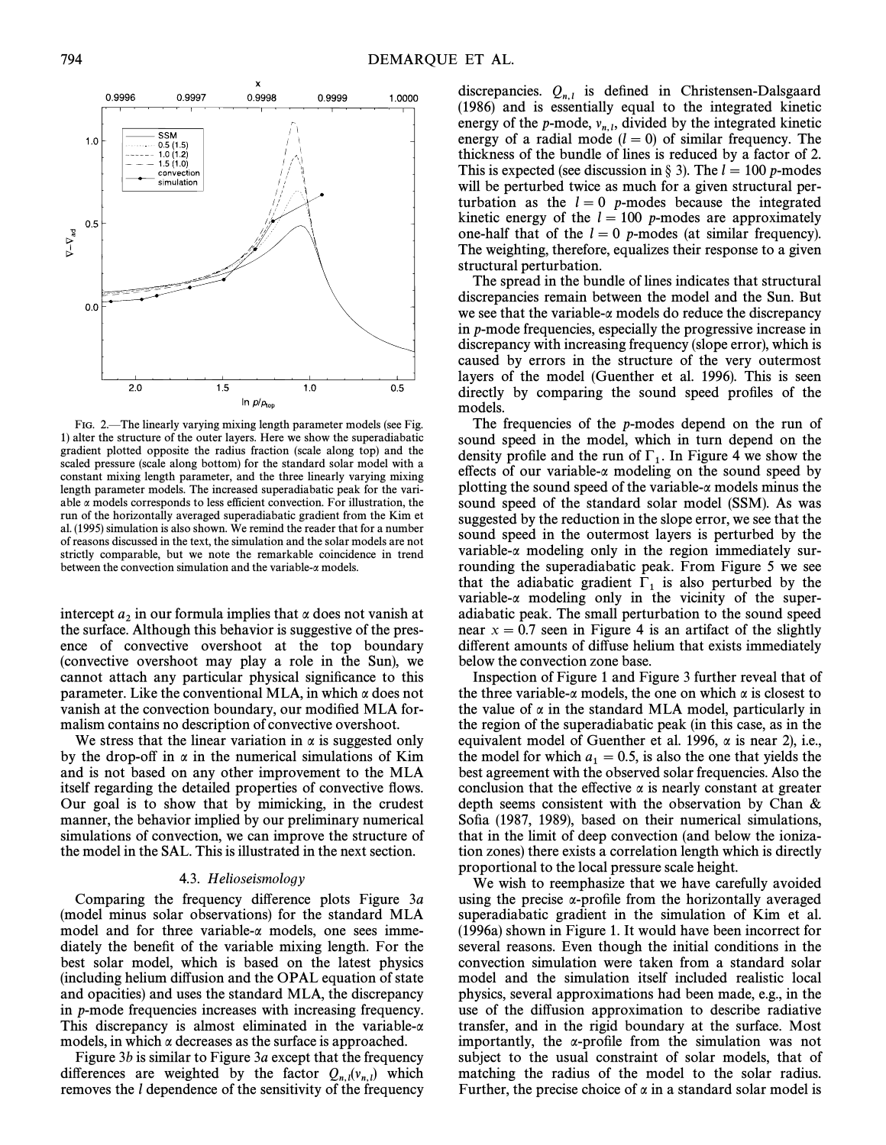

FIG. 2.—The linearly varying mixing length parameter models (see Fig. 1) alter the structure of the outer layers. Here we show the superadiabatic gradient plotted opposite the radius fraction (scale along top) and the scaled pressure (scale along bottom) for the standard solar model with a constant mixing length parameter, and the three linearly varying mixing length parameter models. The increased superadiabatic peak for the variable  $\alpha$  models corresponds to less efficient convection. For illustration, the run of the horizontally averaged superadiabatic gradient from the Kim et al. (1995) simulation is also shown. We remind the reader that for a number of reasons discussed in the text, the simulation and the solar models are not strictly comparable, but we note the remarkable coincidence in trend between the convection simulation and the variable- $\alpha$  models.

intercept  $a_2$  in our formula implies that  $\alpha$  does not vanish at the surface. Although this behavior is suggestive of the presence of convective overshoot at the top boundary (convective overshoot may play a role in the Sun), we cannot attach any particular physical significance to this parameter. Like the conventional MLA, in which  $\alpha$  does not vanish at the convection boundary, our modified MLA formalism contains no description of convective overshoot.

We stress that the linear variation in  $\alpha$  is suggested only by the drop-off in  $\alpha$  in the numerical simulations of Kim and is not based on any other improvement to the MLA itself regarding the detailed properties of convective flows. Our goal is to show that by mimicking, in the crudest manner, the behavior implied by our preliminary numerical simulations of convection, we can improve the structure of the model in the SAL. This is illustrated in the next section.

### 4.3. Helioseismology

Comparing the frequency difference plots Figure  $3a$ (model minus solar observations) for the standard MLA model and for three variable- $\alpha$  models, one sees immediately the benefit of the variable mixing length. For the best solar model, which is based on the latest physics (including helium di†usion and the OPAL equation of state and opacities) and uses the standard MLA, the discrepancy in p-mode frequencies increases with increasing frequency. This discrepancy is almost eliminated in the variable- $\alpha$ models, in which  $\alpha$  decreases as the surface is approached.

Figure  $3b$  is similar to Figure  $3a$  except that the frequency differences are weighted by the factor  $Q_{n,l}(v_{n,l})$  which removes the *l* dependence of the sensitivity of the frequency removes the l dependence of the sensitivity of the frequency

discrepancies.  $Q_{n,l}$  is defined in Christensen-Dalsgaard (1986) and is essentially equal to the integrated kinetic energy of the *p*-mode,  $v_{n,l}$ , divided by the integrated kinetic energy of a radial mode  $(l = 0)$  of similar frequency. The thickness of the bundle of lines is reduced by a factor of 2. This is expected (see discussion in  $\S$  3). The  $l = 100$  p-modes will be perturbed twice as much for a given structural perturbation as the  $l = 0$  p-modes because the integrated kinetic energy of the  $l = 100$  p-modes are approximately one-half that of the  $l = 0$  p-modes (at similar frequency). The weighting, therefore, equalizes their response to a given structural perturbation.

The spread in the bundle of lines indicates that structural discrepancies remain between the model and the Sun. But we see that the variable- $\alpha$  models do reduce the discrepancy in p-mode frequencies, especially the progressive increase in discrepancy with increasing frequency (slope error), which is caused by errors in the structure of the very outermost layers of the model (Guenther et al. 1996). This is seen directly by comparing the sound speed profiles of the models.

The frequencies of the *p*-modes depend on the run of sound speed in the model, which in turn depend on the density profile and the run of  $\Gamma_1$ . In Figure 4 we show the effects of our variable  $\alpha$  modeling on the sound speed by effects of our variable- $\alpha$  modeling on the sound speed by plotting the sound speed of the variable- $\alpha$  models minus the sound speed of the standard solar model (SSM). As was suggested by the reduction in the slope error, we see that the sound speed in the outermost layers is perturbed by the variable- $\alpha$  modeling only in the region immediately surrounding the superadiabatic peak. From Figure 5 we see that the adiabatic gradient  $\Gamma_1$  is also perturbed by the variable- $\alpha$  modeling only in the vicinity of the superadiabatic peak. The small perturbation to the sound speed near  $x = 0.7$  seen in Figure 4 is an artifact of the slightly different amounts of diffuse helium that exists immediately below the convection zone base.

Inspection of Figure 1 and Figure 3 further reveal that of the three variable- $\alpha$  models, the one on which  $\alpha$  is closest to the value of  $\alpha$  in the standard MLA model, particularly in the region of the superadiabatic peak (in this case, as in the equivalent model of Guenther et al. 1996,  $\alpha$  is near 2), i.e., the model for which  $a_1 = 0.5$ , is also the one that yields the heat agreement with the observed solar frequencies. Also the best agreement with the observed solar frequencies. Also the conclusion that the effective  $\alpha$  is nearly constant at greater depth seems consistent with the observation by Chan & Sofia (1987, 1989), based on their numerical simulations, that in the limit of deep convection (and below the ionization zones) there exists a correlation length which is directly proportional to the local pressure scale height.

We wish to reemphasize that we have carefully avoided using the precise  $\alpha$ -profile from the horizontally averaged superadiabatic gradient in the simulation of Kim et al.  $(1996a)$  shown in Figure 1. It would have been incorrect for several reasons. Even though the initial conditions in the convection simulation were taken from a standard solar model and the simulation itself included realistic local physics, several approximations had been made, e.g., in the use of the diffusion approximation to describe radiative transfer, and in the rigid boundary at the surface. Most importantly, the  $\alpha$ -profile from the simulation was not subject to the usual constraint of solar models, that of matching the radius of the model to the solar radius. Further, the precise choice of  $\alpha$  in a standard solar model is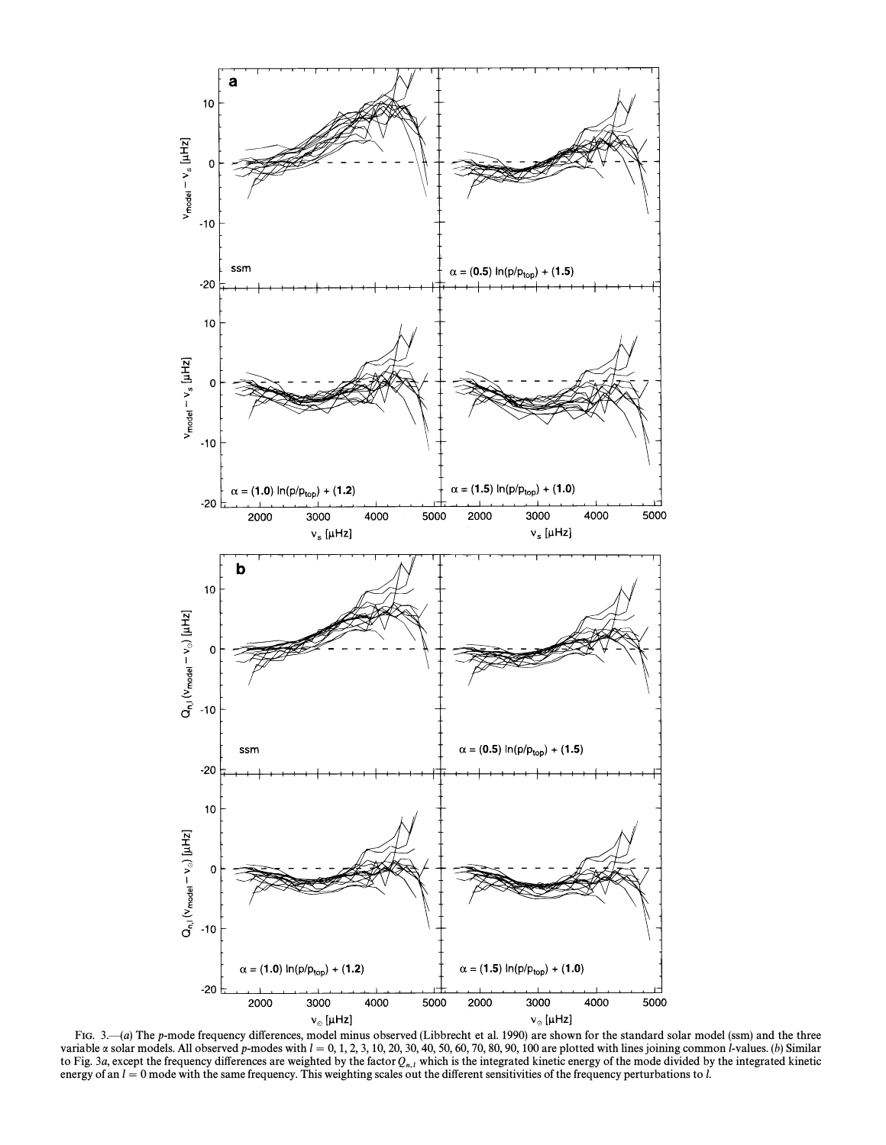

FIG.  $3.—(a)$  The p-mode frequency differences, model minus observed (Libbrecht et al. 1990) are shown for the standard solar model (ssm) and the three variable  $\alpha$  solar models. All observed p-modes with  $l = 0, 1, 2, 3, 10, 20, 30, 40, 50, 60, 70, 80, 90, 100$  are plotted with lines joining common l-values. (b) Similar to Fig. 3a, except the frequency differences are weighted by the factor  $Q_{n,l}$  which is the integrated kinetic energy of the mode divided by the integrated kinetic energy of an  $l = 0$  mode with the same frequency. This w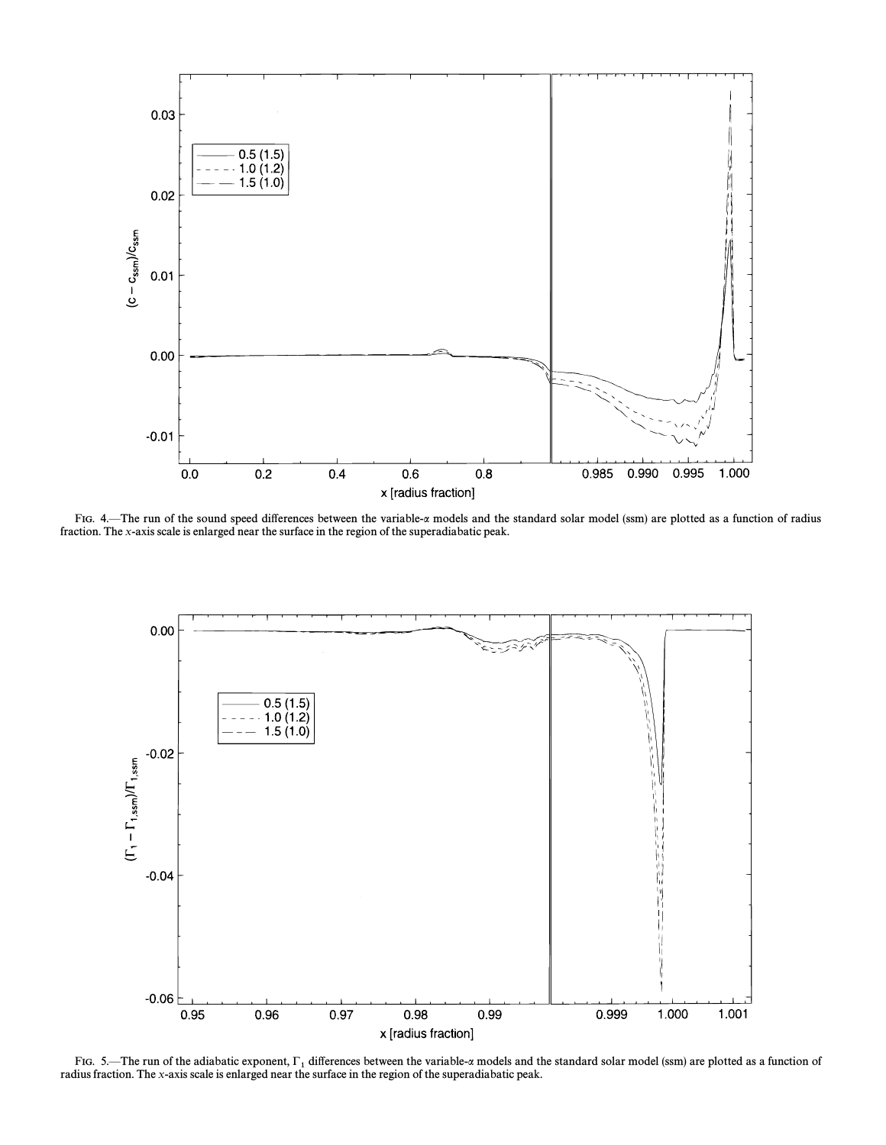

FIG. 4. The run of the sound speed differences between the variable- $\alpha$  models and the standard solar model (ssm) are plotted as a function of radius fraction. The x-axis scale is enlarged near the surface in the region of the superadiabatic peak.



FIG. 5.—The run of the adiabatic exponent,  $\Gamma_1$  differences between the variable- $\alpha$  models and the standard solar model (ssm) are plotted as a function of radius fraction. The x-axis scale is enlarged near the surface